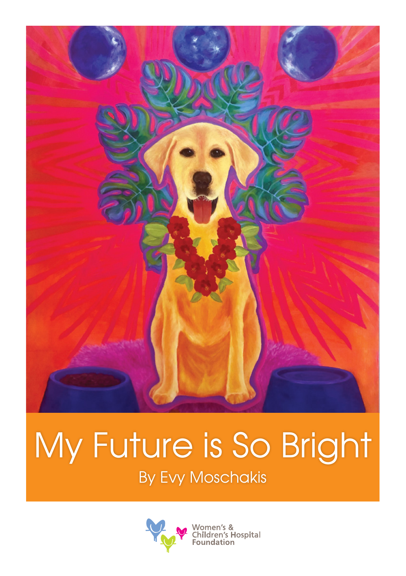

## My Future is So Bright

By Evy Moschakis

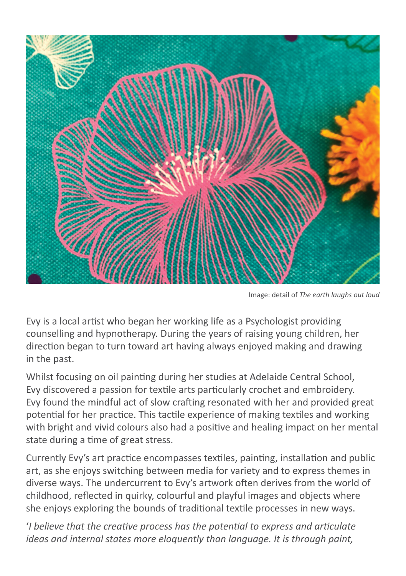

Image: detail of *The earth laughs out loud*

Evy is a local artist who began her working life as a Psychologist providing counselling and hypnotherapy. During the years of raising young children, her direction began to turn toward art having always enjoyed making and drawing in the past.

Whilst focusing on oil painting during her studies at Adelaide Central School, Evy discovered a passion for textile arts particularly crochet and embroidery. Evy found the mindful act of slow crafting resonated with her and provided great potential for her practice. This tactile experience of making textiles and working with bright and vivid colours also had a positive and healing impact on her mental state during a time of great stress.

Currently Evy's art practice encompasses textiles, painting, installation and public art, as she enjoys switching between media for variety and to express themes in diverse ways. The undercurrent to Evy's artwork often derives from the world of childhood, reflected in quirky, colourful and playful images and objects where she enjoys exploring the bounds of traditional textile processes in new ways.

'*I believe that the creative process has the potential to express and articulate ideas and internal states more eloquently than language. It is through paint,*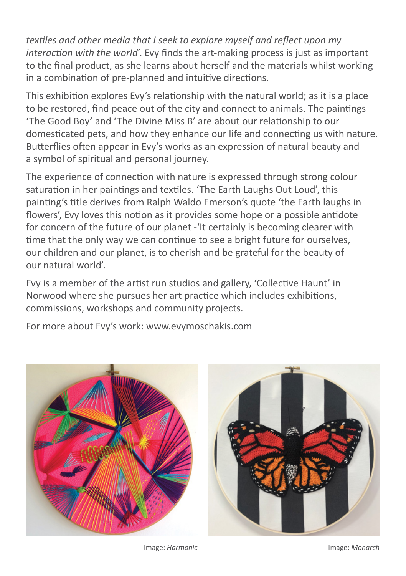*textiles and other media that I seek to explore myself and reflect upon my interaction with the world*'. Evy finds the art-making process is just as important to the final product, as she learns about herself and the materials whilst working in a combination of pre-planned and intuitive directions.

This exhibition explores Evy's relationship with the natural world; as it is a place to be restored, find peace out of the city and connect to animals. The paintings 'The Good Boy' and 'The Divine Miss B' are about our relationship to our domesticated pets, and how they enhance our life and connecting us with nature. Butterflies often appear in Evy's works as an expression of natural beauty and a symbol of spiritual and personal journey.

The experience of connection with nature is expressed through strong colour saturation in her paintings and textiles. 'The Earth Laughs Out Loud', this painting's title derives from Ralph Waldo Emerson's quote 'the Earth laughs in flowers', Evy loves this notion as it provides some hope or a possible antidote for concern of the future of our planet -'It certainly is becoming clearer with time that the only way we can continue to see a bright future for ourselves, our children and our planet, is to cherish and be grateful for the beauty of our natural world'.

Evy is a member of the artist run studios and gallery, 'Collective Haunt' in Norwood where she pursues her art practice which includes exhibitions, commissions, workshops and community projects.

For more about Evy's work: www.evymoschakis.com





Image: *Harmonic* Image: *Monarch*